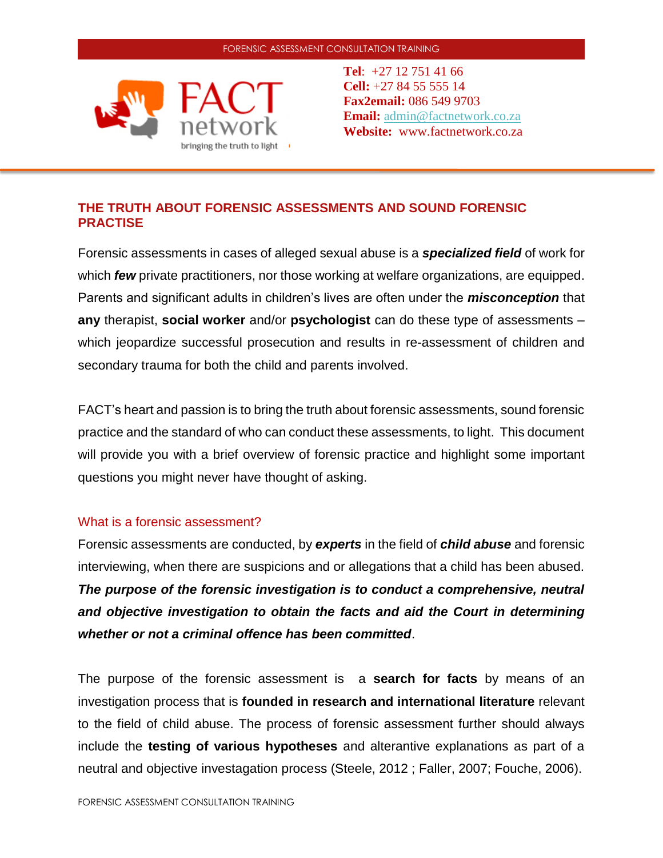

**Tel**: +27 12 751 41 66 **Cell:** +27 84 55 555 14 **Fax2email:** 086 549 9703 **Email:** [admin@factnetwork.co.za](mailto:admin@factnetwork.co.za) **Website:** www.factnetwork.co.za

# **THE TRUTH ABOUT FORENSIC ASSESSMENTS AND SOUND FORENSIC PRACTISE**

Forensic assessments in cases of alleged sexual abuse is a *specialized field* of work for which *few* private practitioners, nor those working at welfare organizations, are equipped. Parents and significant adults in children's lives are often under the *misconception* that **any** therapist, **social worker** and/or **psychologist** can do these type of assessments – which jeopardize successful prosecution and results in re-assessment of children and secondary trauma for both the child and parents involved.

FACT's heart and passion is to bring the truth about forensic assessments, sound forensic practice and the standard of who can conduct these assessments, to light. This document will provide you with a brief overview of forensic practice and highlight some important questions you might never have thought of asking.

## What is a forensic assessment?

Forensic assessments are conducted, by *experts* in the field of *child abuse* and forensic interviewing, when there are suspicions and or allegations that a child has been abused. *The purpose of the forensic investigation is to conduct a comprehensive, neutral and objective investigation to obtain the facts and aid the Court in determining whether or not a criminal offence has been committed*.

The purpose of the forensic assessment is a **search for facts** by means of an investigation process that is **founded in research and international literature** relevant to the field of child abuse. The process of forensic assessment further should always include the **testing of various hypotheses** and alterantive explanations as part of a neutral and objective investagation process (Steele, 2012 ; Faller, 2007; Fouche, 2006).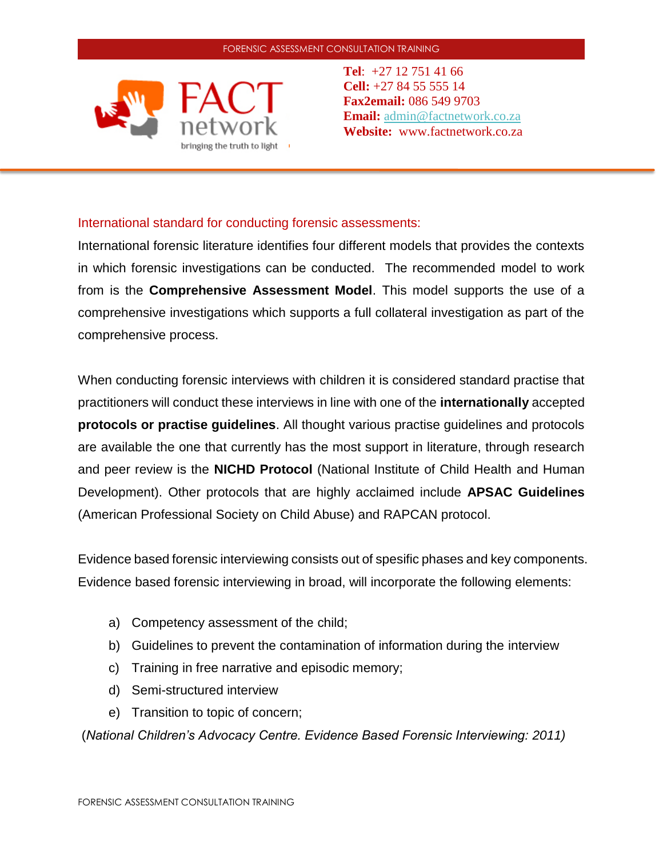

**Tel**: +27 12 751 41 66 **Cell:** +27 84 55 555 14 **Fax2email:** 086 549 9703 **Email:** [admin@factnetwork.co.za](mailto:admin@factnetwork.co.za) **Website:** www.factnetwork.co.za

## International standard for conducting forensic assessments:

International forensic literature identifies four different models that provides the contexts in which forensic investigations can be conducted. The recommended model to work from is the **Comprehensive Assessment Model**. This model supports the use of a comprehensive investigations which supports a full collateral investigation as part of the comprehensive process.

When conducting forensic interviews with children it is considered standard practise that practitioners will conduct these interviews in line with one of the **internationally** accepted **protocols or practise guidelines**. All thought various practise guidelines and protocols are available the one that currently has the most support in literature, through research and peer review is the **NICHD Protocol** (National Institute of Child Health and Human Development). Other protocols that are highly acclaimed include **APSAC Guidelines** (American Professional Society on Child Abuse) and RAPCAN protocol.

Evidence based forensic interviewing consists out of spesific phases and key components. Evidence based forensic interviewing in broad, will incorporate the following elements:

- a) Competency assessment of the child;
- b) Guidelines to prevent the contamination of information during the interview
- c) Training in free narrative and episodic memory;
- d) Semi-structured interview
- e) Transition to topic of concern;

(*National Children's Advocacy Centre. Evidence Based Forensic Interviewing: 2011)*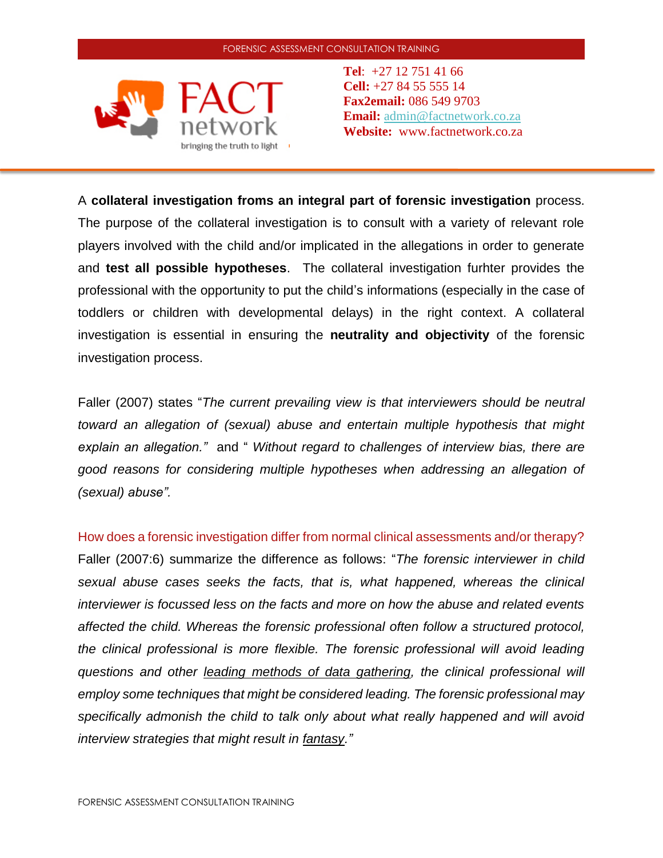

**Tel**: +27 12 751 41 66 **Cell:** +27 84 55 555 14 **Fax2email:** 086 549 9703 **Email:** [admin@factnetwork.co.za](mailto:admin@factnetwork.co.za) **Website:** www.factnetwork.co.za

A **collateral investigation froms an integral part of forensic investigation** process. The purpose of the collateral investigation is to consult with a variety of relevant role players involved with the child and/or implicated in the allegations in order to generate and **test all possible hypotheses**. The collateral investigation furhter provides the professional with the opportunity to put the child's informations (especially in the case of toddlers or children with developmental delays) in the right context. A collateral investigation is essential in ensuring the **neutrality and objectivity** of the forensic investigation process.

Faller (2007) states "*The current prevailing view is that interviewers should be neutral toward an allegation of (sexual) abuse and entertain multiple hypothesis that might explain an allegation."* and " *Without regard to challenges of interview bias, there are good reasons for considering multiple hypotheses when addressing an allegation of (sexual) abuse".*

How does a forensic investigation differ from normal clinical assessments and/or therapy? Faller (2007:6) summarize the difference as follows: "*The forensic interviewer in child sexual abuse cases seeks the facts, that is, what happened, whereas the clinical interviewer is focussed less on the facts and more on how the abuse and related events affected the child. Whereas the forensic professional often follow a structured protocol, the clinical professional is more flexible. The forensic professional will avoid leading questions and other leading methods of data gathering, the clinical professional will employ some techniques that might be considered leading. The forensic professional may specifically admonish the child to talk only about what really happened and will avoid interview strategies that might result in fantasy."*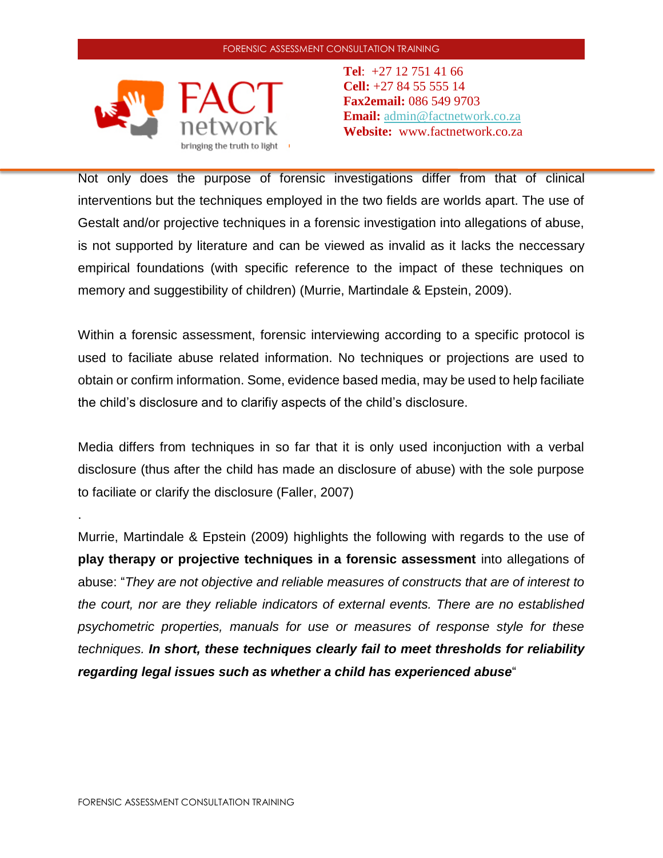

**Tel**: +27 12 751 41 66 **Cell:** +27 84 55 555 14 **Fax2email:** 086 549 9703 **Email:** [admin@factnetwork.co.za](mailto:admin@factnetwork.co.za) **Website:** www.factnetwork.co.za

Not only does the purpose of forensic investigations differ from that of clinical interventions but the techniques employed in the two fields are worlds apart. The use of Gestalt and/or projective techniques in a forensic investigation into allegations of abuse, is not supported by literature and can be viewed as invalid as it lacks the neccessary empirical foundations (with specific reference to the impact of these techniques on memory and suggestibility of children) (Murrie, Martindale & Epstein, 2009).

Within a forensic assessment, forensic interviewing according to a specific protocol is used to faciliate abuse related information. No techniques or projections are used to obtain or confirm information. Some, evidence based media, may be used to help faciliate the child's disclosure and to clarifiy aspects of the child's disclosure.

Media differs from techniques in so far that it is only used inconjuction with a verbal disclosure (thus after the child has made an disclosure of abuse) with the sole purpose to faciliate or clarify the disclosure (Faller, 2007)

Murrie, Martindale & Epstein (2009) highlights the following with regards to the use of **play therapy or projective techniques in a forensic assessment** into allegations of abuse: "*They are not objective and reliable measures of constructs that are of interest to the court, nor are they reliable indicators of external events. There are no established psychometric properties, manuals for use or measures of response style for these techniques. In short, these techniques clearly fail to meet thresholds for reliability regarding legal issues such as whether a child has experienced abuse*"

.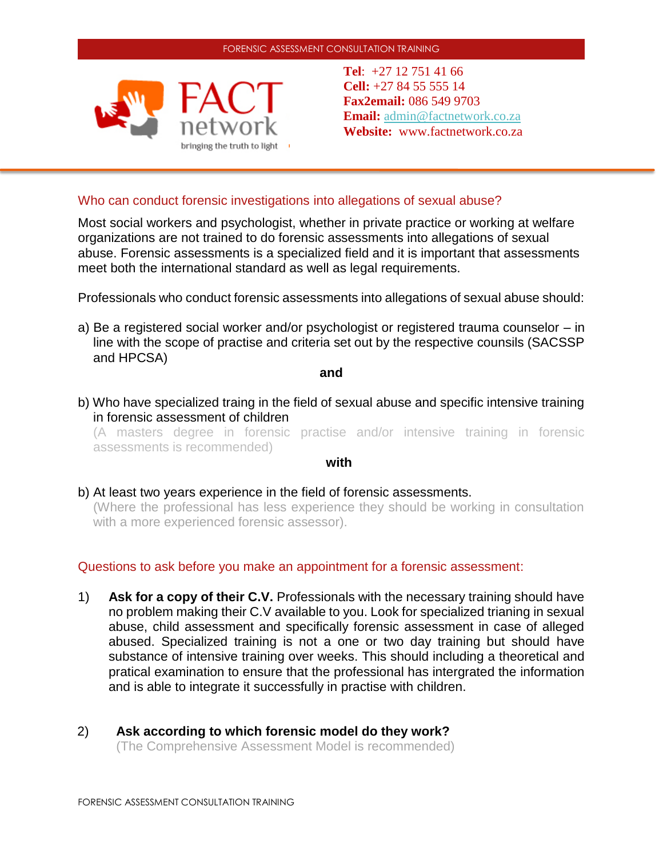

**Tel**: +27 12 751 41 66 **Cell:** +27 84 55 555 14 **Fax2email:** 086 549 9703 **Email:** [admin@factnetwork.co.za](mailto:admin@factnetwork.co.za) **Website:** www.factnetwork.co.za

### Who can conduct forensic investigations into allegations of sexual abuse?

Most social workers and psychologist, whether in private practice or working at welfare organizations are not trained to do forensic assessments into allegations of sexual abuse. Forensic assessments is a specialized field and it is important that assessments meet both the international standard as well as legal requirements.

Professionals who conduct forensic assessments into allegations of sexual abuse should:

a) Be a registered social worker and/or psychologist or registered trauma counselor – in line with the scope of practise and criteria set out by the respective counsils (SACSSP and HPCSA)

**and**

b) Who have specialized traing in the field of sexual abuse and specific intensive training in forensic assessment of children

(A masters degree in forensic practise and/or intensive training in forensic assessments is recommended)

#### **with**

b) At least two years experience in the field of forensic assessments.

(Where the professional has less experience they should be working in consultation with a more experienced forensic assessor).

### Questions to ask before you make an appointment for a forensic assessment:

- 1) **Ask for a copy of their C.V.** Professionals with the necessary training should have no problem making their C.V available to you. Look for specialized trianing in sexual abuse, child assessment and specifically forensic assessment in case of alleged abused. Specialized training is not a one or two day training but should have substance of intensive training over weeks. This should including a theoretical and pratical examination to ensure that the professional has intergrated the information and is able to integrate it successfully in practise with children.
- 2) **Ask according to which forensic model do they work?** (The Comprehensive Assessment Model is recommended)